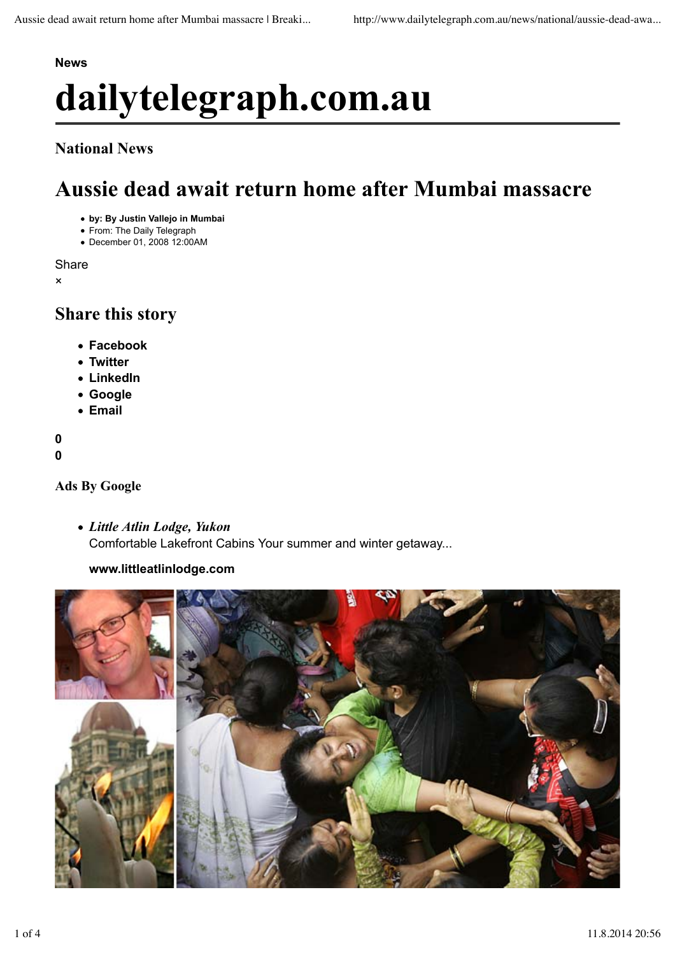# **News dailytelegraph.com.au**

### **National News**

## **Aussie dead await return home after Mumbai massacre Share**

- **by: By Justin Vallejo in Mumbai**
- From: The Daily Telegraph
- December 01, 2008 12:00AM

Share

×

### **Share this story**

- **Facebook**
- **Twitter**
- **LinkedIn**
- **Google**
- **Email**

**0**

**0**

#### **Ads By Google**

*Little Atlin Lodge, Yukon* Comfortable Lakefront Cabins Your summer and winter getaway...

#### **www.littleatlinlodge.com**

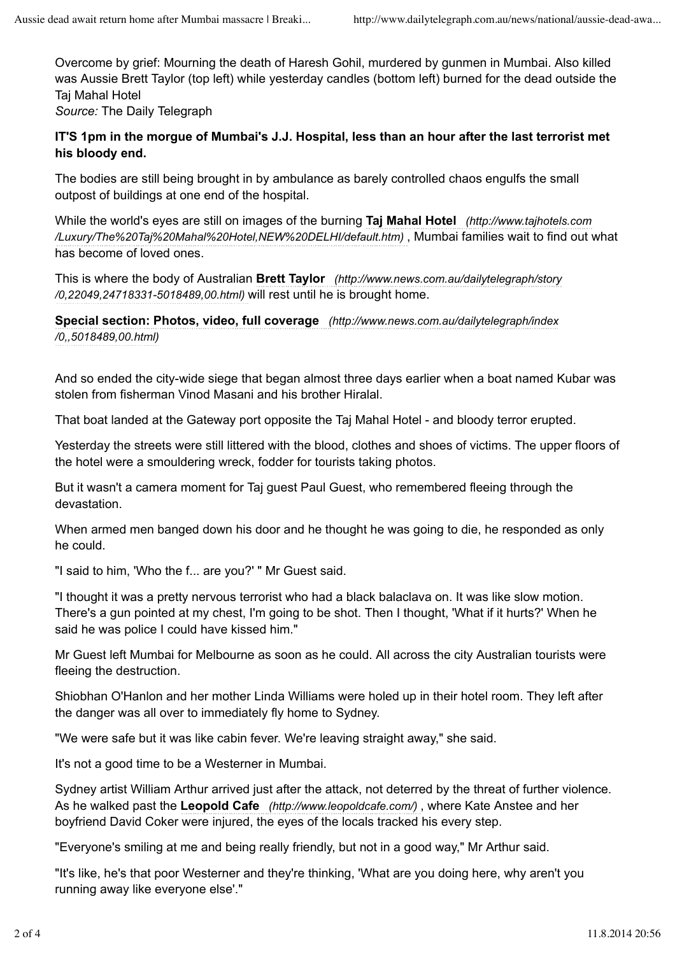Overcome by grief: Mourning the death of Haresh Gohil, murdered by gunmen in Mumbai. Also killed was Aussie Brett Taylor (top left) while yesterday candles (bottom left) burned for the dead outside the Taj Mahal Hotel

*Source:* The Daily Telegraph

#### **IT'S 1pm in the morgue of Mumbai's J.J. Hospital, less than an hour after the last terrorist met his bloody end.**

The bodies are still being brought in by ambulance as barely controlled chaos engulfs the small outpost of buildings at one end of the hospital.

While the world's eyes are still on images of the burning **Taj Mahal Hotel** *(http://www.tajhotels.com /Luxury/The%20Taj%20Mahal%20Hotel,NEW%20DELHI/default.htm)* , Mumbai families wait to find out what has become of loved ones.

This is where the body of Australian **Brett Taylor** *(http://www.news.com.au/dailytelegraph/story /0,22049,24718331-5018489,00.html)* will rest until he is brought home.

**Special section: Photos, video, full coverage** *(http://www.news.com.au/dailytelegraph/index /0,,5018489,00.html)*

And so ended the city-wide siege that began almost three days earlier when a boat named Kubar was stolen from fisherman Vinod Masani and his brother Hiralal.

That boat landed at the Gateway port opposite the Taj Mahal Hotel - and bloody terror erupted.

Yesterday the streets were still littered with the blood, clothes and shoes of victims. The upper floors of the hotel were a smouldering wreck, fodder for tourists taking photos.

But it wasn't a camera moment for Taj guest Paul Guest, who remembered fleeing through the devastation.

When armed men banged down his door and he thought he was going to die, he responded as only he could.

"I said to him, 'Who the f... are you?' " Mr Guest said.

"I thought it was a pretty nervous terrorist who had a black balaclava on. It was like slow motion. There's a gun pointed at my chest, I'm going to be shot. Then I thought, 'What if it hurts?' When he said he was police I could have kissed him."

Mr Guest left Mumbai for Melbourne as soon as he could. All across the city Australian tourists were fleeing the destruction.

Shiobhan O'Hanlon and her mother Linda Williams were holed up in their hotel room. They left after the danger was all over to immediately fly home to Sydney.

"We were safe but it was like cabin fever. We're leaving straight away," she said.

It's not a good time to be a Westerner in Mumbai.

Sydney artist William Arthur arrived just after the attack, not deterred by the threat of further violence. As he walked past the **Leopold Cafe** *(http://www.leopoldcafe.com/)* , where Kate Anstee and her boyfriend David Coker were injured, the eyes of the locals tracked his every step.

"Everyone's smiling at me and being really friendly, but not in a good way," Mr Arthur said.

"It's like, he's that poor Westerner and they're thinking, 'What are you doing here, why aren't you running away like everyone else'."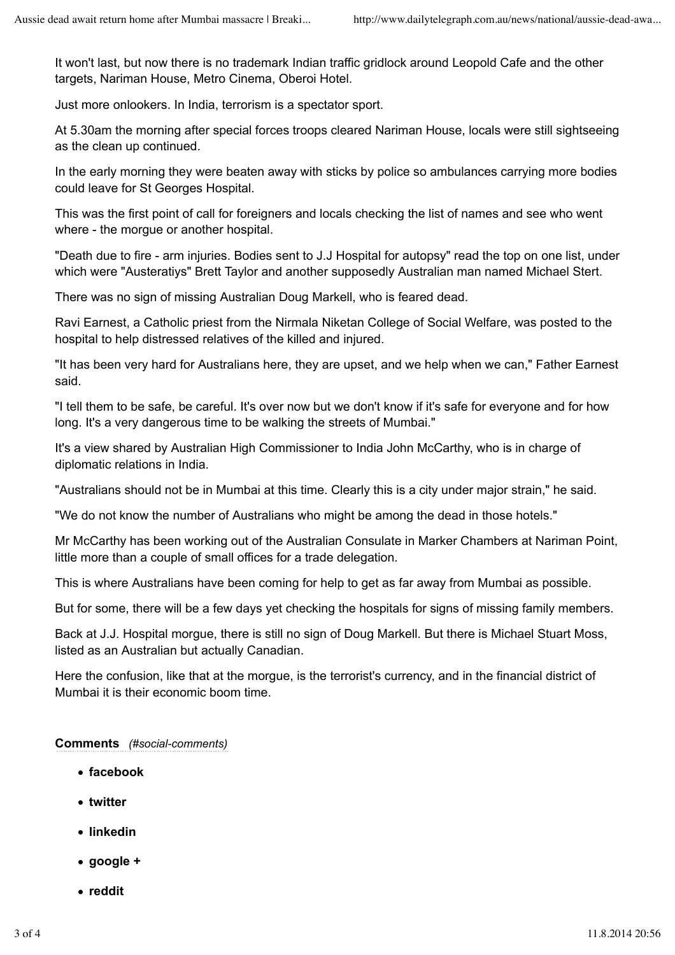It won't last, but now there is no trademark Indian traffic gridlock around Leopold Cafe and the other targets, Nariman House, Metro Cinema, Oberoi Hotel.

Just more onlookers. In India, terrorism is a spectator sport.

At 5.30am the morning after special forces troops cleared Nariman House, locals were still sightseeing as the clean up continued.

In the early morning they were beaten away with sticks by police so ambulances carrying more bodies could leave for St Georges Hospital.

This was the first point of call for foreigners and locals checking the list of names and see who went where - the morque or another hospital.

"Death due to fire - arm injuries. Bodies sent to J.J Hospital for autopsy" read the top on one list, under which were "Austeratiys" Brett Taylor and another supposedly Australian man named Michael Stert.

There was no sign of missing Australian Doug Markell, who is feared dead.

Ravi Earnest, a Catholic priest from the Nirmala Niketan College of Social Welfare, was posted to the hospital to help distressed relatives of the killed and injured.

"It has been very hard for Australians here, they are upset, and we help when we can," Father Earnest said.

"I tell them to be safe, be careful. It's over now but we don't know if it's safe for everyone and for how long. It's a very dangerous time to be walking the streets of Mumbai."

It's a view shared by Australian High Commissioner to India John McCarthy, who is in charge of diplomatic relations in India.

"Australians should not be in Mumbai at this time. Clearly this is a city under major strain," he said.

"We do not know the number of Australians who might be among the dead in those hotels."

Mr McCarthy has been working out of the Australian Consulate in Marker Chambers at Nariman Point, little more than a couple of small offices for a trade delegation.

This is where Australians have been coming for help to get as far away from Mumbai as possible.

But for some, there will be a few days yet checking the hospitals for signs of missing family members.

Back at J.J. Hospital morgue, there is still no sign of Doug Markell. But there is Michael Stuart Moss, listed as an Australian but actually Canadian.

Here the confusion, like that at the morgue, is the terrorist's currency, and in the financial district of Mumbai it is their economic boom time.

#### **Comments** *(#social-comments)*

- **facebook**
- **twitter**
- **linkedin**
- **google +**
- **reddit**